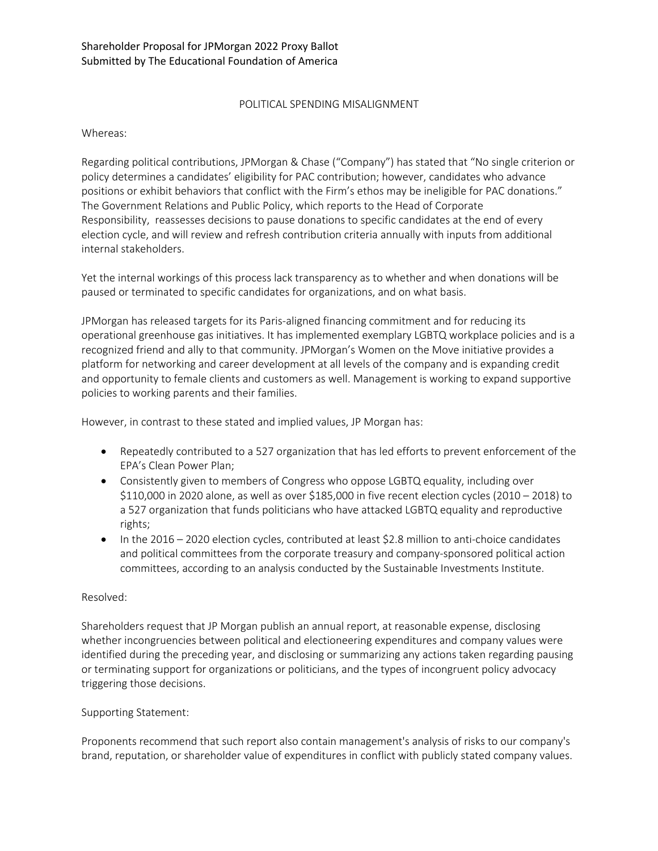## POLITICAL SPENDING MISALIGNMENT

Whereas:

Regarding political contributions, JPMorgan & Chase ("Company") has stated that "No single criterion or policy determines a candidates' eligibility for PAC contribution; however, candidates who advance positions or exhibit behaviors that conflict with the Firm's ethos may be ineligible for PAC donations." The Government Relations and Public Policy, which reports to the Head of Corporate Responsibility, reassesses decisions to pause donations to specific candidates at the end of every election cycle, and will review and refresh contribution criteria annually with inputs from additional internal stakeholders.

Yet the internal workings of this process lack transparency as to whether and when donations will be paused or terminated to specific candidates for organizations, and on what basis.

JPMorgan has released targets for its Paris-aligned financing commitment and for reducing its operational greenhouse gas initiatives. It has implemented exemplary LGBTQ workplace policies and is a recognized friend and ally to that community. JPMorgan's Women on the Move initiative provides a platform for networking and career development at all levels of the company and is expanding credit and opportunity to female clients and customers as well. Management is working to expand supportive policies to working parents and their families.

However, in contrast to these stated and implied values, JP Morgan has:

- Repeatedly contributed to a 527 organization that has led efforts to prevent enforcement of the EPA's Clean Power Plan;
- Consistently given to members of Congress who oppose LGBTQ equality, including over \$110,000 in 2020 alone, as well as over \$185,000 in five recent election cycles (2010 – 2018) to a 527 organization that funds politicians who have attacked LGBTQ equality and reproductive rights;
- In the 2016 2020 election cycles, contributed at least \$2.8 million to anti-choice candidates and political committees from the corporate treasury and company-sponsored political action committees, according to an analysis conducted by the Sustainable Investments Institute.

## Resolved:

Shareholders request that JP Morgan publish an annual report, at reasonable expense, disclosing whether incongruencies between political and electioneering expenditures and company values were identified during the preceding year, and disclosing or summarizing any actions taken regarding pausing or terminating support for organizations or politicians, and the types of incongruent policy advocacy triggering those decisions.

## Supporting Statement:

Proponents recommend that such report also contain management's analysis of risks to our company's brand, reputation, or shareholder value of expenditures in conflict with publicly stated company values.